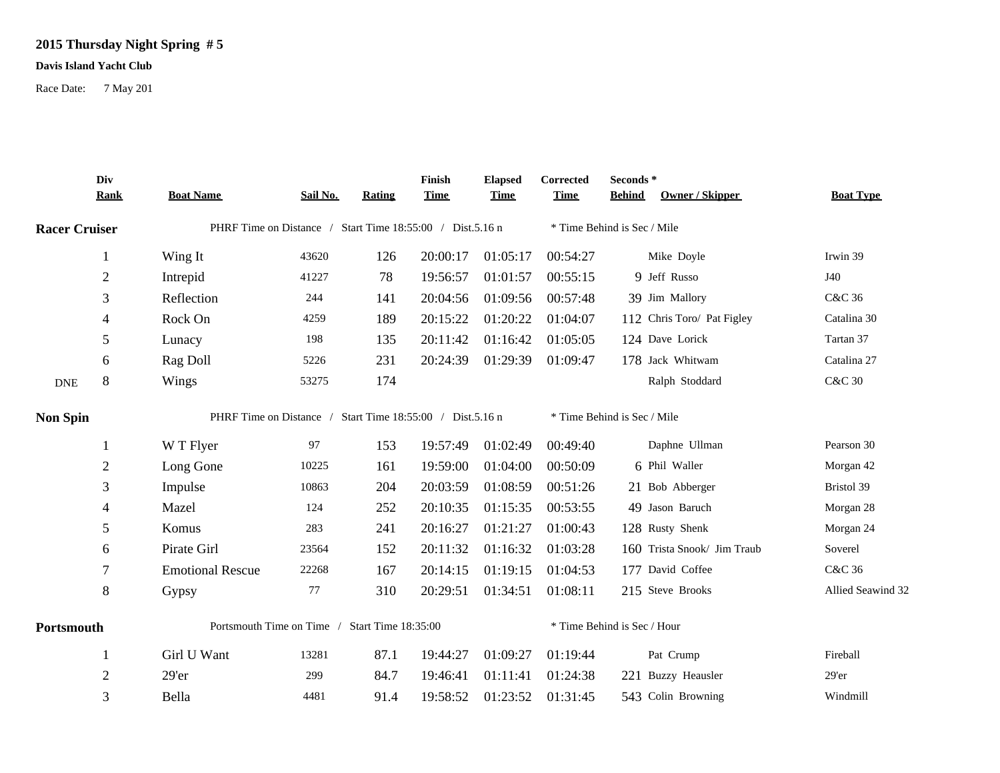## **2015 Thursday Night Spring # 5**

## **Davis Island Yacht Club**

Race Date: 7 May 201

|                             | Div<br><b>Rank</b> | <b>Boat Name</b>                                          | Sail No.                                                  | <b>Rating</b> | Finish<br><b>Time</b> | <b>Elapsed</b><br><b>Time</b> | Corrected<br><b>Time</b>    | Seconds*<br>Owner / Skipper<br><b>Behind</b> | <b>Boat Type</b>  |  |  |
|-----------------------------|--------------------|-----------------------------------------------------------|-----------------------------------------------------------|---------------|-----------------------|-------------------------------|-----------------------------|----------------------------------------------|-------------------|--|--|
| <b>Racer Cruiser</b>        |                    | PHRF Time on Distance / Start Time 18:55:00 / Dist.5.16 n |                                                           |               |                       |                               | * Time Behind is Sec / Mile |                                              |                   |  |  |
|                             | 1                  | Wing It                                                   | 43620                                                     | 126           | 20:00:17              | 01:05:17                      | 00:54:27                    | Mike Doyle                                   | Irwin 39          |  |  |
|                             | $\overline{c}$     | Intrepid                                                  | 41227                                                     | 78            | 19:56:57              | 01:01:57                      | 00:55:15                    | 9 Jeff Russo                                 | J40               |  |  |
|                             | 3                  | Reflection                                                | 244                                                       | 141           | 20:04:56              | 01:09:56                      | 00:57:48                    | 39 Jim Mallory                               | C&C 36            |  |  |
|                             | 4                  | Rock On                                                   | 4259                                                      | 189           | 20:15:22              | 01:20:22                      | 01:04:07                    | 112 Chris Toro/ Pat Figley                   | Catalina 30       |  |  |
|                             | 5                  | Lunacy                                                    | 198                                                       | 135           | 20:11:42              | 01:16:42                      | 01:05:05                    | 124 Dave Lorick                              | Tartan 37         |  |  |
|                             | 6                  | Rag Doll                                                  | 5226                                                      | 231           | 20:24:39              | 01:29:39                      | 01:09:47                    | 178 Jack Whitwam                             | Catalina 27       |  |  |
| $\ensuremath{\mathsf{DNE}}$ | 8                  | Wings                                                     | 53275                                                     | 174           |                       |                               |                             | Ralph Stoddard                               | <b>C&amp;C 30</b> |  |  |
| <b>Non Spin</b>             |                    |                                                           | PHRF Time on Distance / Start Time 18:55:00 / Dist.5.16 n |               |                       |                               |                             | * Time Behind is Sec / Mile                  |                   |  |  |
|                             | 1                  | W T Flyer                                                 | 97                                                        | 153           | 19:57:49              | 01:02:49                      | 00:49:40                    | Daphne Ullman                                | Pearson 30        |  |  |
|                             | $\overline{2}$     | Long Gone                                                 | 10225                                                     | 161           | 19:59:00              | 01:04:00                      | 00:50:09                    | 6 Phil Waller                                | Morgan 42         |  |  |
|                             | 3                  | Impulse                                                   | 10863                                                     | 204           | 20:03:59              | 01:08:59                      | 00:51:26                    | 21 Bob Abberger                              | Bristol 39        |  |  |
|                             | 4                  | Mazel                                                     | 124                                                       | 252           | 20:10:35              | 01:15:35                      | 00:53:55                    | 49 Jason Baruch                              | Morgan 28         |  |  |
|                             | 5                  | Komus                                                     | 283                                                       | 241           | 20:16:27              | 01:21:27                      | 01:00:43                    | 128 Rusty Shenk                              | Morgan 24         |  |  |
|                             | 6                  | Pirate Girl                                               | 23564                                                     | 152           | 20:11:32              | 01:16:32                      | 01:03:28                    | 160 Trista Snook/ Jim Traub                  | Soverel           |  |  |
|                             | 7                  | <b>Emotional Rescue</b>                                   | 22268                                                     | 167           | 20:14:15              | 01:19:15                      | 01:04:53                    | 177 David Coffee                             | C&C 36            |  |  |
|                             | 8                  | Gypsy                                                     | 77                                                        | 310           | 20:29:51              | 01:34:51                      | 01:08:11                    | 215 Steve Brooks                             | Allied Seawind 32 |  |  |
| Portsmouth                  |                    | Portsmouth Time on Time / Start Time 18:35:00             |                                                           |               |                       |                               |                             | * Time Behind is Sec / Hour                  |                   |  |  |
|                             | 1                  | Girl U Want                                               | 13281                                                     | 87.1          | 19:44:27              | 01:09:27                      | 01:19:44                    | Pat Crump                                    | Fireball          |  |  |
|                             | $\mathbf{2}$       | 29'er                                                     | 299                                                       | 84.7          | 19:46:41              | 01:11:41                      | 01:24:38                    | 221 Buzzy Heausler                           | 29'er             |  |  |
|                             | 3                  | Bella                                                     | 4481                                                      | 91.4          | 19:58:52              | 01:23:52                      | 01:31:45                    | 543 Colin Browning                           | Windmill          |  |  |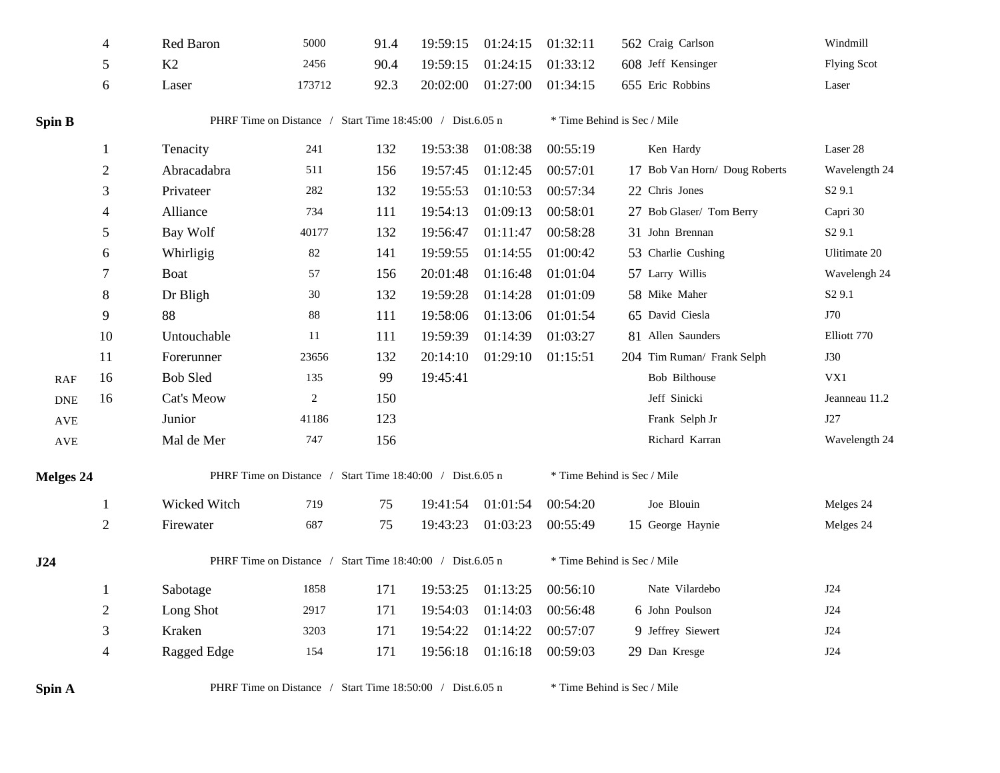|                      | 4              | Red Baron                                                 | 5000                                                      | 91.4 | 19:59:15 | 01:24:15 | 01:32:11 | 562 Craig Carlson             | Windmill           |  |  |  |
|----------------------|----------------|-----------------------------------------------------------|-----------------------------------------------------------|------|----------|----------|----------|-------------------------------|--------------------|--|--|--|
|                      | 5              | K2                                                        | 2456                                                      | 90.4 | 19:59:15 | 01:24:15 | 01:33:12 | 608 Jeff Kensinger            | <b>Flying Scot</b> |  |  |  |
|                      | 6              | Laser                                                     | 173712                                                    | 92.3 | 20:02:00 | 01:27:00 | 01:34:15 | 655 Eric Robbins              | Laser              |  |  |  |
|                      |                |                                                           |                                                           |      |          |          |          |                               |                    |  |  |  |
| <b>Spin B</b>        |                | PHRF Time on Distance / Start Time 18:45:00 / Dist.6.05 n |                                                           |      |          |          |          | * Time Behind is Sec / Mile   |                    |  |  |  |
|                      | 1              | Tenacity                                                  | 241                                                       | 132  | 19:53:38 | 01:08:38 | 00:55:19 | Ken Hardy                     | Laser 28           |  |  |  |
|                      | $\overline{2}$ | Abracadabra                                               | 511                                                       | 156  | 19:57:45 | 01:12:45 | 00:57:01 | 17 Bob Van Horn/ Doug Roberts | Wavelength 24      |  |  |  |
|                      | 3              | Privateer                                                 | 282                                                       | 132  | 19:55:53 | 01:10:53 | 00:57:34 | 22 Chris Jones                | S <sub>2</sub> 9.1 |  |  |  |
|                      | 4              | Alliance                                                  | 734                                                       | 111  | 19:54:13 | 01:09:13 | 00:58:01 | 27 Bob Glaser/ Tom Berry      | Capri 30           |  |  |  |
|                      | 5              | Bay Wolf                                                  | 40177                                                     | 132  | 19:56:47 | 01:11:47 | 00:58:28 | 31 John Brennan               | S <sub>2</sub> 9.1 |  |  |  |
|                      | 6              | Whirligig                                                 | 82                                                        | 141  | 19:59:55 | 01:14:55 | 01:00:42 | 53 Charlie Cushing            | Ulitimate 20       |  |  |  |
|                      | $\tau$         | <b>Boat</b>                                               | 57                                                        | 156  | 20:01:48 | 01:16:48 | 01:01:04 | 57 Larry Willis               | Wavelengh 24       |  |  |  |
|                      | $\,8\,$        | Dr Bligh                                                  | $30\,$                                                    | 132  | 19:59:28 | 01:14:28 | 01:01:09 | 58 Mike Maher                 | S <sub>2</sub> 9.1 |  |  |  |
|                      | 9              | 88                                                        | $88\,$                                                    | 111  | 19:58:06 | 01:13:06 | 01:01:54 | 65 David Ciesla               | J70                |  |  |  |
|                      | 10             | Untouchable                                               | 11                                                        | 111  | 19:59:39 | 01:14:39 | 01:03:27 | 81 Allen Saunders             | Elliott 770        |  |  |  |
|                      | 11             | Forerunner                                                | 23656                                                     | 132  | 20:14:10 | 01:29:10 | 01:15:51 | 204 Tim Ruman/ Frank Selph    | <b>J30</b>         |  |  |  |
| RAF                  | 16             | <b>Bob Sled</b>                                           | 135                                                       | 99   | 19:45:41 |          |          | Bob Bilthouse                 | VX1                |  |  |  |
| ${\rm DNE}$          | 16             | Cat's Meow                                                | $\overline{2}$                                            | 150  |          |          |          | Jeff Sinicki                  | Jeanneau 11.2      |  |  |  |
| $\operatorname{AVE}$ |                | Junior                                                    | 41186                                                     | 123  |          |          |          | Frank Selph Jr                | J27                |  |  |  |
| $\operatorname{AVE}$ |                | Mal de Mer                                                | 747                                                       | 156  |          |          |          | Richard Karran                | Wavelength 24      |  |  |  |
| <b>Melges 24</b>     |                |                                                           | PHRF Time on Distance / Start Time 18:40:00 / Dist.6.05 n |      |          |          |          | * Time Behind is Sec / Mile   |                    |  |  |  |
|                      | -1             | Wicked Witch                                              | 719                                                       | 75   | 19:41:54 | 01:01:54 | 00:54:20 | Joe Blouin                    | Melges 24          |  |  |  |
|                      | $\sqrt{2}$     | Firewater                                                 | 687                                                       | 75   | 19:43:23 | 01:03:23 | 00:55:49 | 15 George Haynie              | Melges 24          |  |  |  |
| J24                  |                | PHRF Time on Distance / Start Time 18:40:00 / Dist.6.05 n |                                                           |      |          |          |          | * Time Behind is Sec / Mile   |                    |  |  |  |
|                      |                | Sabotage                                                  | 1858                                                      | 171  | 19:53:25 | 01:13:25 | 00:56:10 | Nate Vilardebo                | J24                |  |  |  |
|                      | $\sqrt{2}$     | Long Shot                                                 | 2917                                                      | 171  | 19:54:03 | 01:14:03 | 00:56:48 | 6 John Poulson                | J24                |  |  |  |
|                      | 3              | Kraken                                                    | 3203                                                      | 171  | 19:54:22 | 01:14:22 | 00:57:07 | 9 Jeffrey Siewert             | J24                |  |  |  |
|                      | $\overline{4}$ | Ragged Edge                                               | 154                                                       | 171  | 19:56:18 | 01:16:18 | 00:59:03 | 29 Dan Kresge                 | J24                |  |  |  |
| Spin A               |                |                                                           | PHRF Time on Distance / Start Time 18:50:00 / Dist.6.05 n |      |          |          |          | * Time Behind is Sec / Mile   |                    |  |  |  |